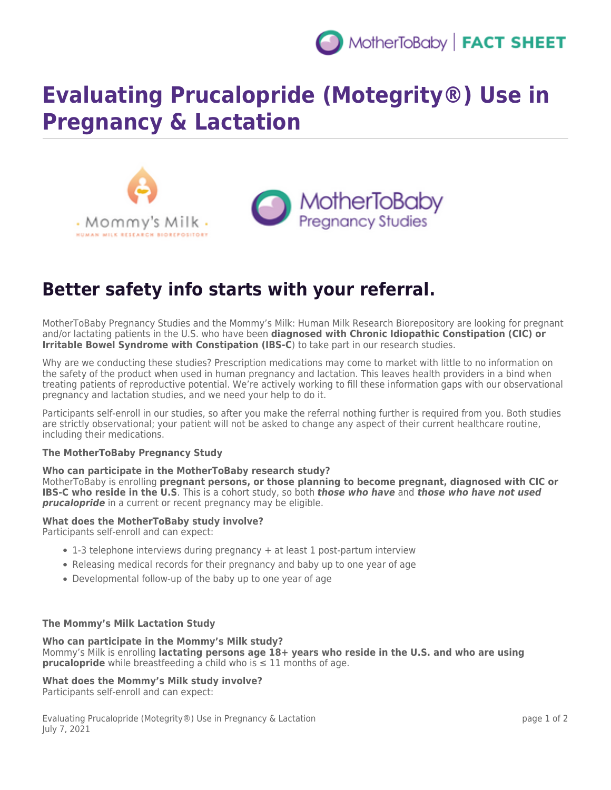

# **Evaluating Prucalopride (Motegrity®) Use in Pregnancy & Lactation**





## **Better safety info starts with your referral.**

MotherToBaby Pregnancy Studies and the Mommy's Milk: Human Milk Research Biorepository are looking for pregnant and/or lactating patients in the U.S. who have been **diagnosed with Chronic Idiopathic Constipation (CIC) or Irritable Bowel Syndrome with Constipation (IBS-C**) to take part in our research studies.

Why are we conducting these studies? Prescription medications may come to market with little to no information on the safety of the product when used in human pregnancy and lactation. This leaves health providers in a bind when treating patients of reproductive potential. We're actively working to fill these information gaps with our observational pregnancy and lactation studies, and we need your help to do it.

Participants self-enroll in our studies, so after you make the referral nothing further is required from you. Both studies are strictly observational; your patient will not be asked to change any aspect of their current healthcare routine, including their medications.

#### **The MotherToBaby Pregnancy Study**

#### **Who can participate in the MotherToBaby research study?**

MotherToBaby is enrolling **pregnant persons, or those planning to become pregnant, diagnosed with CIC or IBS-C who reside in the U.S**. This is a cohort study, so both *those who have* and *those who have not used prucalopride* in a current or recent pregnancy may be eligible.

#### **What does the MotherToBaby study involve?**

Participants self-enroll and can expect:

- 1-3 telephone interviews during pregnancy + at least 1 post-partum interview
- Releasing medical records for their pregnancy and baby up to one year of age
- Developmental follow-up of the baby up to one year of age

#### **The Mommy's Milk Lactation Study**

#### **Who can participate in the Mommy's Milk study?**

Mommy's Milk is enrolling **lactating persons age 18+ years who reside in the U.S. and who are using prucalopride** while breastfeeding a child who is  $\leq 11$  months of age.

### **What does the Mommy's Milk study involve?**

Participants self-enroll and can expect:

Evaluating Prucalopride (Motegrity®) Use in Pregnancy & Lactation July 7, 2021